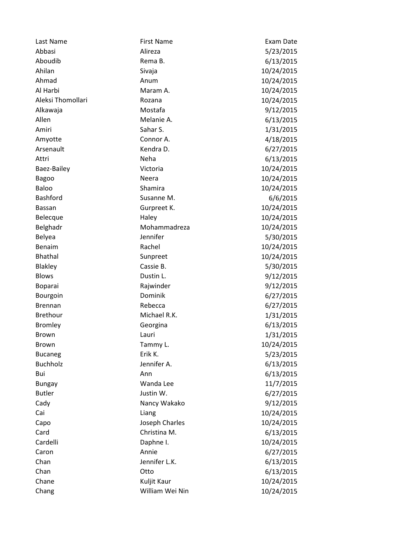| Last Name         | <b>First Name</b> | Exam Date  |
|-------------------|-------------------|------------|
| Abbasi            | Alireza           | 5/23/2015  |
| Aboudib           | Rema B.           | 6/13/2015  |
| Ahilan            | Sivaja            | 10/24/2015 |
| Ahmad             | Anum              | 10/24/2015 |
| Al Harbi          | Maram A.          | 10/24/2015 |
| Aleksi Thomollari | Rozana            | 10/24/2015 |
| Alkawaja          | Mostafa           | 9/12/2015  |
| Allen             | Melanie A.        | 6/13/2015  |
| Amiri             | Sahar S.          | 1/31/2015  |
| Amyotte           | Connor A.         | 4/18/2015  |
| Arsenault         | Kendra D.         | 6/27/2015  |
| Attri             | Neha              | 6/13/2015  |
| Baez-Bailey       | Victoria          | 10/24/2015 |
| <b>Bagoo</b>      | <b>Neera</b>      | 10/24/2015 |
| Baloo             | Shamira           | 10/24/2015 |
| <b>Bashford</b>   | Susanne M.        | 6/6/2015   |
| <b>Bassan</b>     | Gurpreet K.       | 10/24/2015 |
| Belecque          | Haley             | 10/24/2015 |
| Belghadr          | Mohammadreza      | 10/24/2015 |
| <b>Belyea</b>     | Jennifer          | 5/30/2015  |
| Benaim            | Rachel            | 10/24/2015 |
| <b>Bhathal</b>    | Sunpreet          | 10/24/2015 |
| Blakley           | Cassie B.         | 5/30/2015  |
| <b>Blows</b>      | Dustin L.         | 9/12/2015  |
| Boparai           | Rajwinder         | 9/12/2015  |
| Bourgoin          | Dominik           | 6/27/2015  |
| <b>Brennan</b>    | Rebecca           | 6/27/2015  |
| <b>Brethour</b>   | Michael R.K.      | 1/31/2015  |
| <b>Bromley</b>    | Georgina          | 6/13/2015  |
| <b>Brown</b>      | Lauri             | 1/31/2015  |
| <b>Brown</b>      | Tammy L.          | 10/24/2015 |
| <b>Bucaneg</b>    | Erik K.           | 5/23/2015  |
| <b>Buchholz</b>   | Jennifer A.       | 6/13/2015  |
| Bui               | Ann               | 6/13/2015  |
| <b>Bungay</b>     | Wanda Lee         | 11/7/2015  |
| <b>Butler</b>     | Justin W.         | 6/27/2015  |
| Cady              | Nancy Wakako      | 9/12/2015  |
| Cai               | Liang             | 10/24/2015 |
| Capo              | Joseph Charles    | 10/24/2015 |
| Card              | Christina M.      | 6/13/2015  |
| Cardelli          | Daphne I.         | 10/24/2015 |
| Caron             | Annie             | 6/27/2015  |
| Chan              | Jennifer L.K.     | 6/13/2015  |
| Chan              | Otto              | 6/13/2015  |
| Chane             | Kuljit Kaur       | 10/24/2015 |
| Chang             | William Wei Nin   | 10/24/2015 |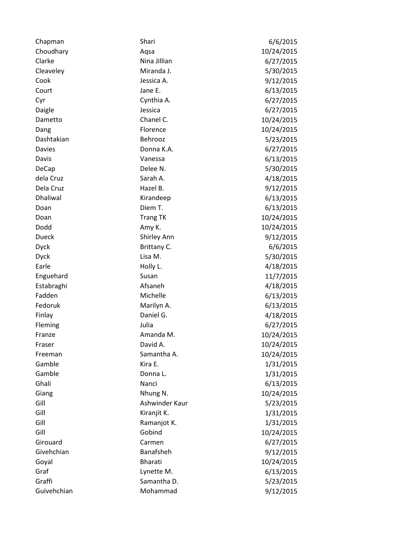| Chapman         | Shari           | 6/6/2015   |
|-----------------|-----------------|------------|
| Choudhary       | Aqsa            | 10/24/2015 |
| Clarke          | Nina Jillian    | 6/27/2015  |
| Cleaveley       | Miranda J.      | 5/30/2015  |
| Cook            | Jessica A.      | 9/12/2015  |
| Court           | Jane E.         | 6/13/2015  |
| Cyr             | Cynthia A.      | 6/27/2015  |
| Daigle          | Jessica         | 6/27/2015  |
| Dametto         | Chanel C.       | 10/24/2015 |
| Dang            | Florence        | 10/24/2015 |
| Dashtakian      | Behrooz         | 5/23/2015  |
| <b>Davies</b>   | Donna K.A.      | 6/27/2015  |
| Davis           | Vanessa         | 6/13/2015  |
| DeCap           | Delee N.        | 5/30/2015  |
| dela Cruz       | Sarah A.        | 4/18/2015  |
| Dela Cruz       | Hazel B.        | 9/12/2015  |
| <b>Dhaliwal</b> | Kirandeep       | 6/13/2015  |
| Doan            | Diem T.         | 6/13/2015  |
| Doan            | <b>Trang TK</b> | 10/24/2015 |
| Dodd            | Amy K.          | 10/24/2015 |
| <b>Dueck</b>    | Shirley Ann     | 9/12/2015  |
| <b>Dyck</b>     | Brittany C.     | 6/6/2015   |
| <b>Dyck</b>     | Lisa M.         | 5/30/2015  |
| Earle           | Holly L.        | 4/18/2015  |
| Enguehard       | Susan           | 11/7/2015  |
| Estabraghi      | Afsaneh         | 4/18/2015  |
| Fadden          | Michelle        | 6/13/2015  |
| Fedoruk         | Marilyn A.      | 6/13/2015  |
| Finlay          | Daniel G.       | 4/18/2015  |
| Fleming         | Julia           | 6/27/2015  |
| Franze          | Amanda M.       | 10/24/2015 |
| Fraser          | David A.        | 10/24/2015 |
| Freeman         | Samantha A.     | 10/24/2015 |
| Gamble          | Kira E.         | 1/31/2015  |
| Gamble          | Donna L.        | 1/31/2015  |
| Ghali           | Nanci           | 6/13/2015  |
| Giang           | Nhung N.        | 10/24/2015 |
| Gill            | Ashwinder Kaur  | 5/23/2015  |
| Gill            | Kiranjit K.     | 1/31/2015  |
| Gill            | Ramanjot K.     | 1/31/2015  |
| Gill            | Gobind          | 10/24/2015 |
| Girouard        | Carmen          | 6/27/2015  |
| Givehchian      | Banafsheh       | 9/12/2015  |
| Goyal           | Bharati         | 10/24/2015 |
| Graf            | Lynette M.      | 6/13/2015  |
| Graffi          | Samantha D.     | 5/23/2015  |
| Guivehchian     | Mohammad        | 9/12/2015  |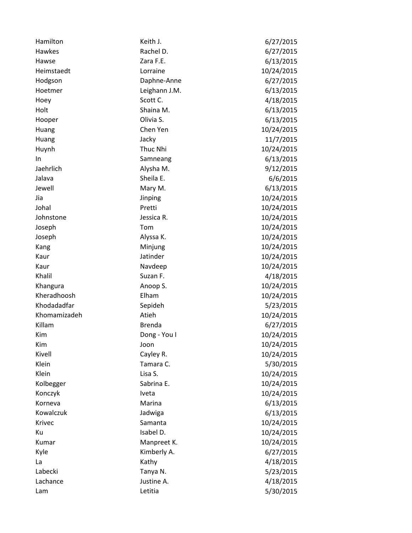| Hamilton     | Keith J.      | 6/27/2015  |
|--------------|---------------|------------|
| Hawkes       | Rachel D.     | 6/27/2015  |
| Hawse        | Zara F.E.     | 6/13/2015  |
| Heimstaedt   | Lorraine      | 10/24/2015 |
| Hodgson      | Daphne-Anne   | 6/27/2015  |
| Hoetmer      | Leighann J.M. | 6/13/2015  |
| Hoey         | Scott C.      | 4/18/2015  |
| Holt         | Shaina M.     | 6/13/2015  |
| Hooper       | Olivia S.     | 6/13/2015  |
| Huang        | Chen Yen      | 10/24/2015 |
| Huang        | Jacky         | 11/7/2015  |
| Huynh        | Thuc Nhi      | 10/24/2015 |
| In.          | Samneang      | 6/13/2015  |
| Jaehrlich    | Alysha M.     | 9/12/2015  |
| Jalava       | Sheila E.     | 6/6/2015   |
| Jewell       | Mary M.       | 6/13/2015  |
| Jia          | Jinping       | 10/24/2015 |
| Johal        | Pretti        | 10/24/2015 |
| Johnstone    | Jessica R.    | 10/24/2015 |
| Joseph       | Tom           | 10/24/2015 |
| Joseph       | Alyssa K.     | 10/24/2015 |
| Kang         | Minjung       | 10/24/2015 |
| Kaur         | Jatinder      | 10/24/2015 |
| Kaur         | Navdeep       | 10/24/2015 |
| Khalil       | Suzan F.      | 4/18/2015  |
| Khangura     | Anoop S.      | 10/24/2015 |
| Kheradhoosh  | Elham         | 10/24/2015 |
| Khodadadfar  | Sepideh       | 5/23/2015  |
| Khomamizadeh | Atieh         | 10/24/2015 |
| Killam       | <b>Brenda</b> | 6/27/2015  |
| Kim          | Dong - You I  | 10/24/2015 |
| Kim          | Joon          | 10/24/2015 |
| Kivell       | Cayley R.     | 10/24/2015 |
| Klein        | Tamara C.     | 5/30/2015  |
| Klein        | Lisa S.       | 10/24/2015 |
| Kolbegger    | Sabrina E.    | 10/24/2015 |
| Konczyk      | <b>Iveta</b>  | 10/24/2015 |
| Korneva      | Marina        | 6/13/2015  |
| Kowalczuk    | Jadwiga       | 6/13/2015  |
| Krivec       | Samanta       | 10/24/2015 |
| Ku           | Isabel D.     | 10/24/2015 |
| Kumar        | Manpreet K.   | 10/24/2015 |
| Kyle         | Kimberly A.   | 6/27/2015  |
| La           | Kathy         | 4/18/2015  |
| Labecki      | Tanya N.      | 5/23/2015  |
| Lachance     | Justine A.    | 4/18/2015  |
| Lam          | Letitia       | 5/30/2015  |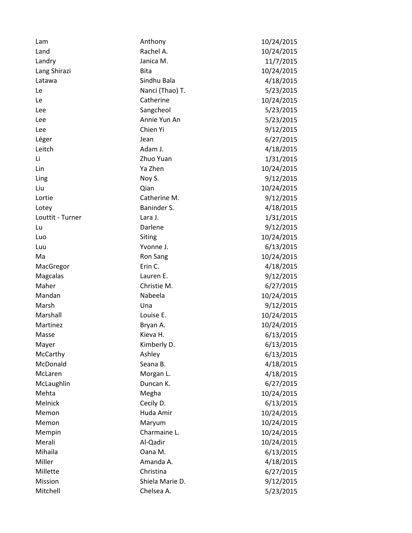| Lam              | Anthony         | 10/24/2015 |
|------------------|-----------------|------------|
| Land             | Rachel A.       | 10/24/2015 |
| Landry           | Janica M.       | 11/7/2015  |
| Lang Shirazi     | <b>Bita</b>     | 10/24/2015 |
| Latawa           | Sindhu Bala     | 4/18/2015  |
| Le               | Nanci (Thao) T. | 5/23/2015  |
| Le               | Catherine       | 10/24/2015 |
| Lee              | Sangcheol       | 5/23/2015  |
| Lee              | Annie Yun An    | 5/23/2015  |
| Lee              | Chien Yi        | 9/12/2015  |
| Léger            | Jean            | 6/27/2015  |
| Leitch           | Adam J.         | 4/18/2015  |
| Li               | Zhuo Yuan       | 1/31/2015  |
| Lin              | Ya Zhen         | 10/24/2015 |
| Ling             | Noy S.          | 9/12/2015  |
| Liu              | Qian            | 10/24/2015 |
| Lortie           | Catherine M.    | 9/12/2015  |
| Lotey            | Baninder S.     | 4/18/2015  |
| Louttit - Turner | Lara J.         | 1/31/2015  |
| Lu               | Darlene         | 9/12/2015  |
| Luo              | Siting          | 10/24/2015 |
| Luu              | Yvonne J.       | 6/13/2015  |
| Ma               | Ron Sang        | 10/24/2015 |
| MacGregor        | Erin C.         | 4/18/2015  |
| Magcalas         | Lauren E.       | 9/12/2015  |
| Maher            | Christie M.     | 6/27/2015  |
| Mandan           | Nabeela         | 10/24/2015 |
| Marsh            | Una             | 9/12/2015  |
| Marshall         | Louise E.       | 10/24/2015 |
| Martinez         | Bryan A.        | 10/24/2015 |
| Masse            | Kieva H.        | 6/13/2015  |
| Mayer            | Kimberly D.     | 6/13/2015  |
| McCarthy         | Ashley          | 6/13/2015  |
| McDonald         | Seana B.        | 4/18/2015  |
| McLaren          | Morgan L.       | 4/18/2015  |
| McLaughlin       | Duncan K.       | 6/27/2015  |
| Mehta            | Megha           | 10/24/2015 |
| Melnick          | Cecily D.       | 6/13/2015  |
| Memon            | Huda Amir       | 10/24/2015 |
| Memon            | Maryum          | 10/24/2015 |
| Mempin           | Charmaine L.    | 10/24/2015 |
| Merali           | Al-Qadir        | 10/24/2015 |
| Mihaila          | Oana M.         | 6/13/2015  |
| Miller           | Amanda A.       | 4/18/2015  |
| Millette         | Christina       | 6/27/2015  |
| Mission          | Shiela Marie D. | 9/12/2015  |
| Mitchell         | Chelsea A.      | 5/23/2015  |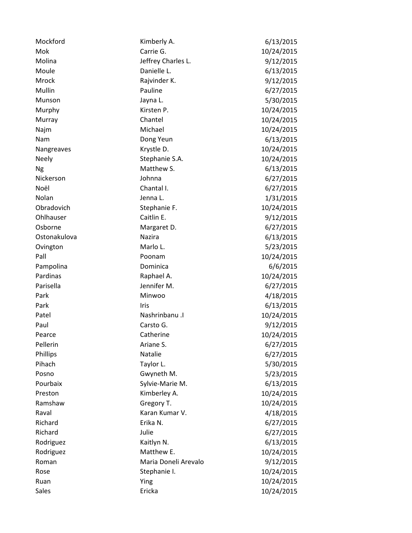| Mockford     | Kimberly A.          | 6/13/2015  |
|--------------|----------------------|------------|
| Mok          | Carrie G.            | 10/24/2015 |
| Molina       | Jeffrey Charles L.   | 9/12/2015  |
| Moule        | Danielle L.          | 6/13/2015  |
| Mrock        | Rajvinder K.         | 9/12/2015  |
| Mullin       | Pauline              | 6/27/2015  |
| Munson       | Jayna L.             | 5/30/2015  |
| Murphy       | Kirsten P.           | 10/24/2015 |
| Murray       | Chantel              | 10/24/2015 |
| Najm         | Michael              | 10/24/2015 |
| Nam          | Dong Yeun            | 6/13/2015  |
| Nangreaves   | Krystle D.           | 10/24/2015 |
| <b>Neely</b> | Stephanie S.A.       | 10/24/2015 |
| <b>Ng</b>    | Matthew S.           | 6/13/2015  |
| Nickerson    | Johnna               | 6/27/2015  |
| Noël         | Chantal I.           | 6/27/2015  |
| Nolan        | Jenna L.             | 1/31/2015  |
| Obradovich   | Stephanie F.         | 10/24/2015 |
| Ohlhauser    | Caitlin E.           | 9/12/2015  |
| Osborne      | Margaret D.          | 6/27/2015  |
| Ostonakulova | Nazira               | 6/13/2015  |
| Ovington     | Marlo L.             | 5/23/2015  |
| Pall         | Poonam               | 10/24/2015 |
| Pampolina    | Dominica             | 6/6/2015   |
| Pardinas     | Raphael A.           | 10/24/2015 |
| Parisella    | Jennifer M.          | 6/27/2015  |
| Park         | Minwoo               | 4/18/2015  |
| Park         | Iris                 | 6/13/2015  |
| Patel        | Nashrinbanu .I       | 10/24/2015 |
| Paul         | Carsto G.            | 9/12/2015  |
| Pearce       | Catherine            | 10/24/2015 |
| Pellerin     | Ariane S.            | 6/27/2015  |
| Phillips     | Natalie              | 6/27/2015  |
| Pihach       | Taylor L.            | 5/30/2015  |
| Posno        | Gwyneth M.           | 5/23/2015  |
| Pourbaix     | Sylvie-Marie M.      | 6/13/2015  |
| Preston      | Kimberley A.         | 10/24/2015 |
| Ramshaw      | Gregory T.           | 10/24/2015 |
| Raval        | Karan Kumar V.       | 4/18/2015  |
| Richard      | Erika N.             | 6/27/2015  |
| Richard      | Julie                | 6/27/2015  |
| Rodriguez    | Kaitlyn N.           | 6/13/2015  |
| Rodriguez    | Matthew E.           | 10/24/2015 |
| Roman        | Maria Doneli Arevalo | 9/12/2015  |
| Rose         | Stephanie I.         | 10/24/2015 |
| Ruan         | Ying                 | 10/24/2015 |
| Sales        | Ericka               | 10/24/2015 |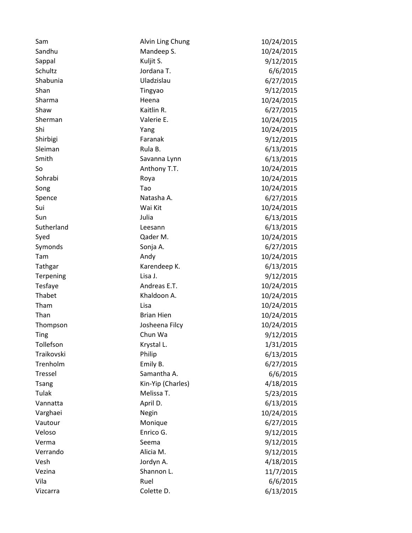| Sam          | Alvin Ling Chung  | 10/24/2015 |
|--------------|-------------------|------------|
| Sandhu       | Mandeep S.        | 10/24/2015 |
| Sappal       | Kuljit S.         | 9/12/2015  |
| Schultz      | Jordana T.        | 6/6/2015   |
| Shabunia     | Uladzislau        | 6/27/2015  |
| Shan         | Tingyao           | 9/12/2015  |
| Sharma       | Heena             | 10/24/2015 |
| Shaw         | Kaitlin R.        | 6/27/2015  |
| Sherman      | Valerie E.        | 10/24/2015 |
| Shi          | Yang              | 10/24/2015 |
| Shirbigi     | Faranak           | 9/12/2015  |
| Sleiman      | Rula B.           | 6/13/2015  |
| Smith        | Savanna Lynn      | 6/13/2015  |
| So           | Anthony T.T.      | 10/24/2015 |
| Sohrabi      | Roya              | 10/24/2015 |
| Song         | Tao               | 10/24/2015 |
| Spence       | Natasha A.        | 6/27/2015  |
| Sui          | Wai Kit           | 10/24/2015 |
| Sun          | Julia             | 6/13/2015  |
| Sutherland   | Leesann           | 6/13/2015  |
| Syed         | Qader M.          | 10/24/2015 |
| Symonds      | Sonja A.          | 6/27/2015  |
| Tam          | Andy              | 10/24/2015 |
| Tathgar      | Karendeep K.      | 6/13/2015  |
| Terpening    | Lisa J.           | 9/12/2015  |
| Tesfaye      | Andreas E.T.      | 10/24/2015 |
| Thabet       | Khaldoon A.       | 10/24/2015 |
| Tham         | Lisa              | 10/24/2015 |
| Than         | <b>Brian Hien</b> | 10/24/2015 |
| Thompson     | Josheena Filcy    | 10/24/2015 |
| Ting         | Chun Wa           | 9/12/2015  |
| Tollefson    | Krystal L.        | 1/31/2015  |
| Traikovski   | Philip            | 6/13/2015  |
| Trenholm     | Emily B.          | 6/27/2015  |
| Tressel      | Samantha A.       | 6/6/2015   |
| <b>Tsang</b> | Kin-Yip (Charles) | 4/18/2015  |
| Tulak        | Melissa T.        | 5/23/2015  |
| Vannatta     | April D.          | 6/13/2015  |
| Varghaei     | Negin             | 10/24/2015 |
| Vautour      | Monique           | 6/27/2015  |
| Veloso       | Enrico G.         | 9/12/2015  |
| Verma        | Seema             | 9/12/2015  |
| Verrando     | Alicia M.         | 9/12/2015  |
| Vesh         | Jordyn A.         | 4/18/2015  |
| Vezina       | Shannon L.        | 11/7/2015  |
| Vila         | Ruel              | 6/6/2015   |
| Vizcarra     | Colette D.        | 6/13/2015  |